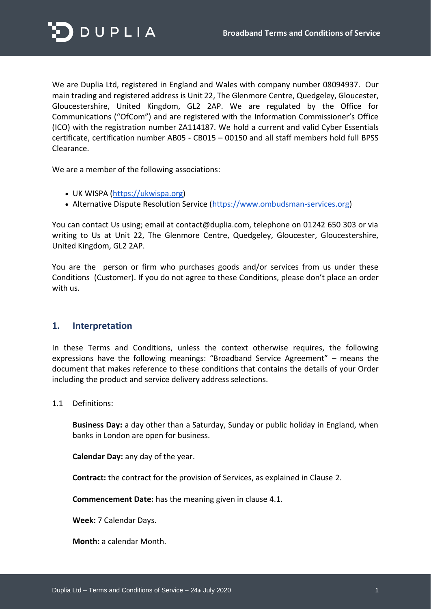

We are Duplia Ltd, registered in England and Wales with company number 08094937. Our main trading and registered address is Unit 22, The Glenmore Centre, Quedgeley, Gloucester, Gloucestershire, United Kingdom, GL2 2AP. We are regulated by the Office for Communications ("OfCom") and are registered with the Information Commissioner's Office (ICO) with the registration number ZA114187. We hold a current and valid Cyber Essentials certificate, certification number AB05 - CB015 – 00150 and all staff members hold full BPSS Clearance.

We are a member of the following associations:

- UK WISPA [\(https://ukwispa.org\)](https://ukwispa.org/)
- Alternative Dispute Resolution Service [\(https://www.ombudsman-services.org\)](https://www.ombudsman-services.org/)

You can contact Us using; email at contact@duplia.com, telephone on 01242 650 303 or via writing to Us at Unit 22, The Glenmore Centre, Quedgeley, Gloucester, Gloucestershire, United Kingdom, GL2 2AP.

You are the person or firm who purchases goods and/or services from us under these Conditions (Customer). If you do not agree to these Conditions, please don't place an order with us.

#### **1. Interpretation**

In these Terms and Conditions, unless the context otherwise requires, the following expressions have the following meanings: "Broadband Service Agreement" – means the document that makes reference to these conditions that contains the details of your Order including the product and service delivery address selections.

1.1 Definitions:

**Business Day:** a day other than a Saturday, Sunday or public holiday in England, when banks in London are open for business.

**Calendar Day:** any day of the year.

**Contract:** the contract for the provision of Services, as explained in Clause 2.

**Commencement Date:** has the meaning given in clause 4.1.

**Week:** 7 Calendar Days.

**Month:** a calendar Month.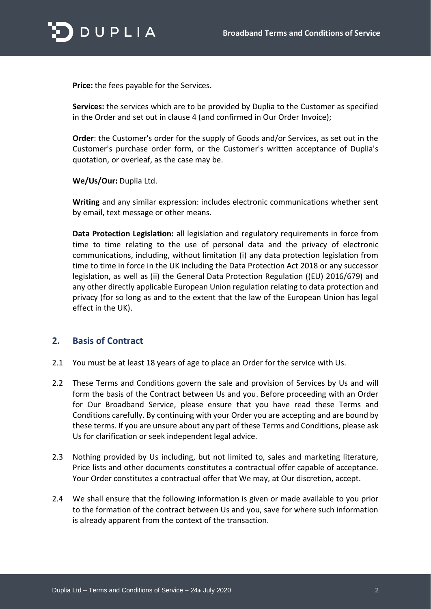

**Price:** the fees payable for the Services.

**Services:** the services which are to be provided by Duplia to the Customer as specified in the Order and set out in clause 4 (and confirmed in Our Order Invoice);

**Order**: the Customer's order for the supply of Goods and/or Services, as set out in the Customer's purchase order form, or the Customer's written acceptance of Duplia's quotation, or overleaf, as the case may be.

**We/Us/Our:** Duplia Ltd.

**Writing** and any similar expression: includes electronic communications whether sent by email, text message or other means.

**Data Protection Legislation:** all legislation and regulatory requirements in force from time to time relating to the use of personal data and the privacy of electronic communications, including, without limitation (i) any data protection legislation from time to time in force in the UK including the Data Protection Act 2018 or any successor legislation, as well as (ii) the General Data Protection Regulation ((EU) 2016/679) and any other directly applicable European Union regulation relating to data protection and privacy (for so long as and to the extent that the law of the European Union has legal effect in the UK).

#### **2. Basis of Contract**

- 2.1 You must be at least 18 years of age to place an Order for the service with Us.
- 2.2 These Terms and Conditions govern the sale and provision of Services by Us and will form the basis of the Contract between Us and you. Before proceeding with an Order for Our Broadband Service, please ensure that you have read these Terms and Conditions carefully. By continuing with your Order you are accepting and are bound by these terms. If you are unsure about any part of these Terms and Conditions, please ask Us for clarification or seek independent legal advice.
- 2.3 Nothing provided by Us including, but not limited to, sales and marketing literature, Price lists and other documents constitutes a contractual offer capable of acceptance. Your Order constitutes a contractual offer that We may, at Our discretion, accept.
- 2.4 We shall ensure that the following information is given or made available to you prior to the formation of the contract between Us and you, save for where such information is already apparent from the context of the transaction.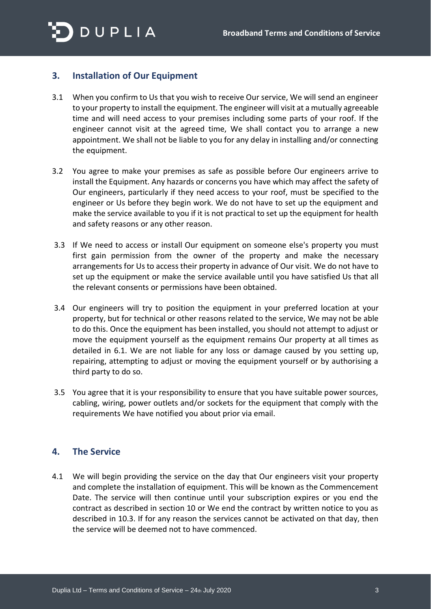

# **3. Installation of Our Equipment**

- 3.1 When you confirm to Us that you wish to receive Our service, We will send an engineer to your property to install the equipment. The engineer will visit at a mutually agreeable time and will need access to your premises including some parts of your roof. If the engineer cannot visit at the agreed time, We shall contact you to arrange a new appointment. We shall not be liable to you for any delay in installing and/or connecting the equipment.
- 3.2 You agree to make your premises as safe as possible before Our engineers arrive to install the Equipment. Any hazards or concerns you have which may affect the safety of Our engineers, particularly if they need access to your roof, must be specified to the engineer or Us before they begin work. We do not have to set up the equipment and make the service available to you if it is not practical to set up the equipment for health and safety reasons or any other reason.
- 3.3 If We need to access or install Our equipment on someone else's property you must first gain permission from the owner of the property and make the necessary arrangements for Us to access their property in advance of Our visit. We do not have to set up the equipment or make the service available until you have satisfied Us that all the relevant consents or permissions have been obtained.
- 3.4 Our engineers will try to position the equipment in your preferred location at your property, but for technical or other reasons related to the service, We may not be able to do this. Once the equipment has been installed, you should not attempt to adjust or move the equipment yourself as the equipment remains Our property at all times as detailed in 6.1. We are not liable for any loss or damage caused by you setting up, repairing, attempting to adjust or moving the equipment yourself or by authorising a third party to do so.
- 3.5 You agree that it is your responsibility to ensure that you have suitable power sources, cabling, wiring, power outlets and/or sockets for the equipment that comply with the requirements We have notified you about prior via email.

# **4. The Service**

4.1 We will begin providing the service on the day that Our engineers visit your property and complete the installation of equipment. This will be known as the Commencement Date. The service will then continue until your subscription expires or you end the contract as described in section 10 or We end the contract by written notice to you as described in 10.3. If for any reason the services cannot be activated on that day, then the service will be deemed not to have commenced.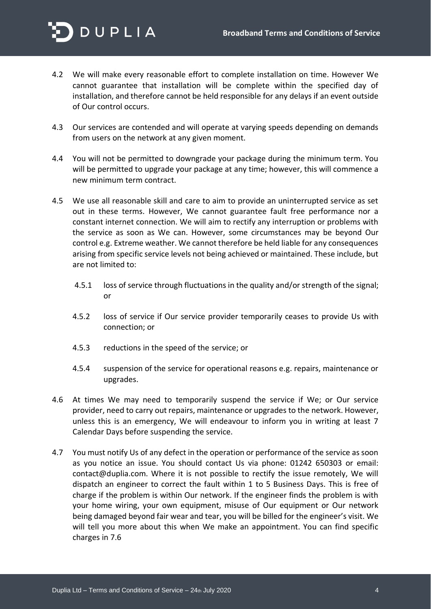

- 4.2 We will make every reasonable effort to complete installation on time. However We cannot guarantee that installation will be complete within the specified day of installation, and therefore cannot be held responsible for any delays if an event outside of Our control occurs.
- 4.3 Our services are contended and will operate at varying speeds depending on demands from users on the network at any given moment.
- 4.4 You will not be permitted to downgrade your package during the minimum term. You will be permitted to upgrade your package at any time; however, this will commence a new minimum term contract.
- 4.5 We use all reasonable skill and care to aim to provide an uninterrupted service as set out in these terms. However, We cannot guarantee fault free performance nor a constant internet connection. We will aim to rectify any interruption or problems with the service as soon as We can. However, some circumstances may be beyond Our control e.g. Extreme weather. We cannot therefore be held liable for any consequences arising from specific service levels not being achieved or maintained. These include, but are not limited to:
	- 4.5.1 loss of service through fluctuations in the quality and/or strength of the signal; or
	- 4.5.2 loss of service if Our service provider temporarily ceases to provide Us with connection; or
	- 4.5.3 reductions in the speed of the service; or
	- 4.5.4 suspension of the service for operational reasons e.g. repairs, maintenance or upgrades.
- 4.6 At times We may need to temporarily suspend the service if We; or Our service provider, need to carry out repairs, maintenance or upgrades to the network. However, unless this is an emergency, We will endeavour to inform you in writing at least 7 Calendar Days before suspending the service.
- 4.7 You must notify Us of any defect in the operation or performance of the service as soon as you notice an issue. You should contact Us via phone: 01242 650303 or email: contact@duplia.com. Where it is not possible to rectify the issue remotely, We will dispatch an engineer to correct the fault within 1 to 5 Business Days. This is free of charge if the problem is within Our network. If the engineer finds the problem is with your home wiring, your own equipment, misuse of Our equipment or Our network being damaged beyond fair wear and tear, you will be billed for the engineer's visit. We will tell you more about this when We make an appointment. You can find specific charges in 7.6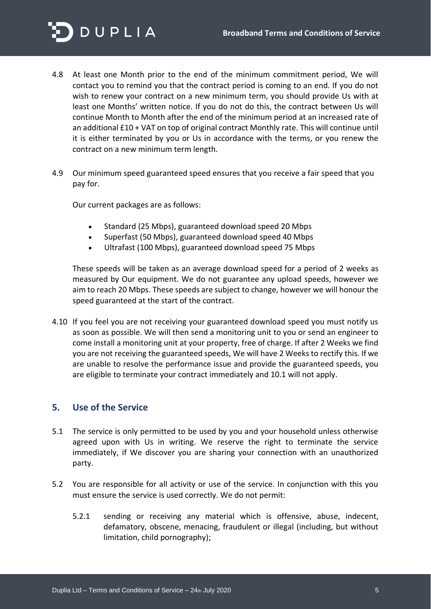

- 4.8 At least one Month prior to the end of the minimum commitment period, We will contact you to remind you that the contract period is coming to an end. If you do not wish to renew your contract on a new minimum term, you should provide Us with at least one Months' written notice. If you do not do this, the contract between Us will continue Month to Month after the end of the minimum period at an increased rate of an additional £10 + VAT on top of original contract Monthly rate. This will continue until it is either terminated by you or Us in accordance with the terms, or you renew the contract on a new minimum term length.
- 4.9 Our minimum speed guaranteed speed ensures that you receive a fair speed that you pay for.

Our current packages are as follows:

- Standard (25 Mbps), guaranteed download speed 20 Mbps
- Superfast (50 Mbps), guaranteed download speed 40 Mbps
- Ultrafast (100 Mbps), guaranteed download speed 75 Mbps

These speeds will be taken as an average download speed for a period of 2 weeks as measured by Our equipment. We do not guarantee any upload speeds, however we aim to reach 20 Mbps. These speeds are subject to change, however we will honour the speed guaranteed at the start of the contract.

4.10 If you feel you are not receiving your guaranteed download speed you must notify us as soon as possible. We will then send a monitoring unit to you or send an engineer to come install a monitoring unit at your property, free of charge. If after 2 Weeks we find you are not receiving the guaranteed speeds, We will have 2 Weeks to rectify this. If we are unable to resolve the performance issue and provide the guaranteed speeds, you are eligible to terminate your contract immediately and 10.1 will not apply.

#### **5. Use of the Service**

- 5.1 The service is only permitted to be used by you and your household unless otherwise agreed upon with Us in writing. We reserve the right to terminate the service immediately, if We discover you are sharing your connection with an unauthorized party.
- 5.2 You are responsible for all activity or use of the service. In conjunction with this you must ensure the service is used correctly. We do not permit:
	- 5.2.1 sending or receiving any material which is offensive, abuse, indecent, defamatory, obscene, menacing, fraudulent or illegal (including, but without limitation, child pornography);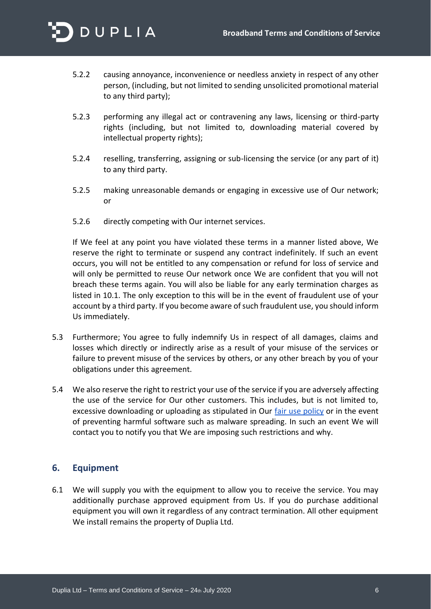

- 5.2.2 causing annoyance, inconvenience or needless anxiety in respect of any other person, (including, but not limited to sending unsolicited promotional material to any third party);
- 5.2.3 performing any illegal act or contravening any laws, licensing or third-party rights (including, but not limited to, downloading material covered by intellectual property rights);
- 5.2.4 reselling, transferring, assigning or sub-licensing the service (or any part of it) to any third party.
- 5.2.5 making unreasonable demands or engaging in excessive use of Our network; or
- 5.2.6 directly competing with Our internet services.

If We feel at any point you have violated these terms in a manner listed above, We reserve the right to terminate or suspend any contract indefinitely. If such an event occurs, you will not be entitled to any compensation or refund for loss of service and will only be permitted to reuse Our network once We are confident that you will not breach these terms again. You will also be liable for any early termination charges as listed in 10.1. The only exception to this will be in the event of fraudulent use of your account by a third party. If you become aware of such fraudulent use, you should inform Us immediately.

- 5.3 Furthermore; You agree to fully indemnify Us in respect of all damages, claims and losses which directly or indirectly arise as a result of your misuse of the services or failure to prevent misuse of the services by others, or any other breach by you of your obligations under this agreement.
- 5.4 We also reserve the right to restrict your use of the service if you are adversely affecting the use of the service for Our other customers. This includes, but is not limited to, excessive downloading or uploading as stipulated in Our [fair use policy](https://duplia.com/fairusage) or in the event of preventing harmful software such as malware spreading. In such an event We will contact you to notify you that We are imposing such restrictions and why.

#### **6. Equipment**

6.1 We will supply you with the equipment to allow you to receive the service. You may additionally purchase approved equipment from Us. If you do purchase additional equipment you will own it regardless of any contract termination. All other equipment We install remains the property of Duplia Ltd.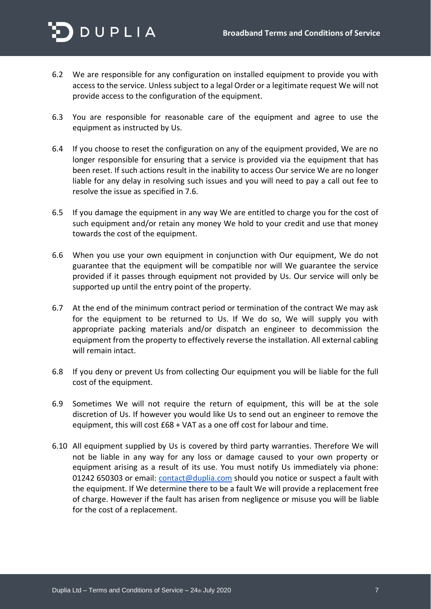

- 6.2 We are responsible for any configuration on installed equipment to provide you with access to the service. Unless subject to a legal Order or a legitimate request We will not provide access to the configuration of the equipment.
- 6.3 You are responsible for reasonable care of the equipment and agree to use the equipment as instructed by Us.
- 6.4 If you choose to reset the configuration on any of the equipment provided, We are no longer responsible for ensuring that a service is provided via the equipment that has been reset. If such actions result in the inability to access Our service We are no longer liable for any delay in resolving such issues and you will need to pay a call out fee to resolve the issue as specified in 7.6.
- 6.5 If you damage the equipment in any way We are entitled to charge you for the cost of such equipment and/or retain any money We hold to your credit and use that money towards the cost of the equipment.
- 6.6 When you use your own equipment in conjunction with Our equipment, We do not guarantee that the equipment will be compatible nor will We guarantee the service provided if it passes through equipment not provided by Us. Our service will only be supported up until the entry point of the property.
- 6.7 At the end of the minimum contract period or termination of the contract We may ask for the equipment to be returned to Us. If We do so, We will supply you with appropriate packing materials and/or dispatch an engineer to decommission the equipment from the property to effectively reverse the installation. All external cabling will remain intact.
- 6.8 If you deny or prevent Us from collecting Our equipment you will be liable for the full cost of the equipment.
- 6.9 Sometimes We will not require the return of equipment, this will be at the sole discretion of Us. If however you would like Us to send out an engineer to remove the equipment, this will cost £68 + VAT as a one off cost for labour and time.
- 6.10 All equipment supplied by Us is covered by third party warranties. Therefore We will not be liable in any way for any loss or damage caused to your own property or equipment arising as a result of its use. You must notify Us immediately via phone: 01242 650303 or email: *contact@duplia.com* should you notice or suspect a fault with the equipment. If We determine there to be a fault We will provide a replacement free of charge. However if the fault has arisen from negligence or misuse you will be liable for the cost of a replacement.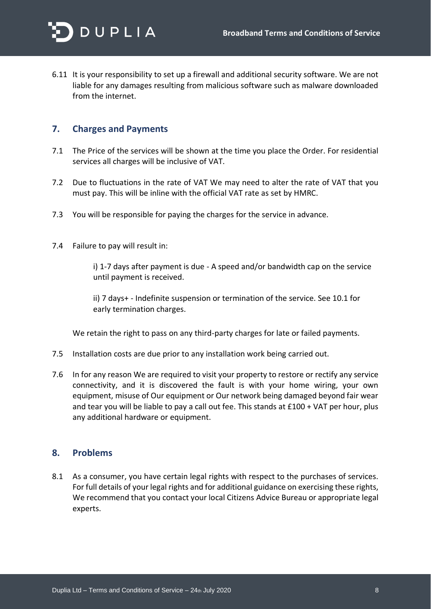

6.11 It is your responsibility to set up a firewall and additional security software. We are not liable for any damages resulting from malicious software such as malware downloaded from the internet.

## **7. Charges and Payments**

- 7.1 The Price of the services will be shown at the time you place the Order. For residential services all charges will be inclusive of VAT.
- 7.2 Due to fluctuations in the rate of VAT We may need to alter the rate of VAT that you must pay. This will be inline with the official VAT rate as set by HMRC.
- 7.3 You will be responsible for paying the charges for the service in advance.
- 7.4 Failure to pay will result in:

i) 1-7 days after payment is due - A speed and/or bandwidth cap on the service until payment is received.

ii) 7 days+ - Indefinite suspension or termination of the service. See 10.1 for early termination charges.

We retain the right to pass on any third-party charges for late or failed payments.

- 7.5 Installation costs are due prior to any installation work being carried out.
- 7.6 In for any reason We are required to visit your property to restore or rectify any service connectivity, and it is discovered the fault is with your home wiring, your own equipment, misuse of Our equipment or Our network being damaged beyond fair wear and tear you will be liable to pay a call out fee. This stands at £100 + VAT per hour, plus any additional hardware or equipment.

#### **8. Problems**

8.1 As a consumer, you have certain legal rights with respect to the purchases of services. For full details of your legal rights and for additional guidance on exercising these rights, We recommend that you contact your local Citizens Advice Bureau or appropriate legal experts.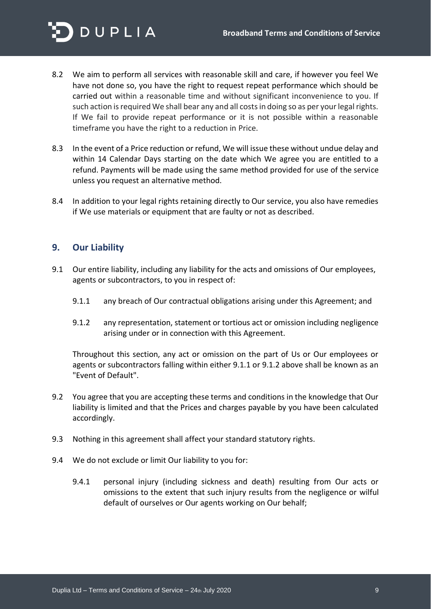

- 8.2 We aim to perform all services with reasonable skill and care, if however you feel We have not done so, you have the right to request repeat performance which should be carried out within a reasonable time and without significant inconvenience to you. If such action is required We shall bear any and all costs in doing so as per your legal rights. If We fail to provide repeat performance or it is not possible within a reasonable timeframe you have the right to a reduction in Price.
- 8.3 In the event of a Price reduction or refund, We will issue these without undue delay and within 14 Calendar Days starting on the date which We agree you are entitled to a refund. Payments will be made using the same method provided for use of the service unless you request an alternative method.
- 8.4 In addition to your legal rights retaining directly to Our service, you also have remedies if We use materials or equipment that are faulty or not as described.

### **9. Our Liability**

- 9.1 Our entire liability, including any liability for the acts and omissions of Our employees, agents or subcontractors, to you in respect of:
	- 9.1.1 any breach of Our contractual obligations arising under this Agreement; and
	- 9.1.2 any representation, statement or tortious act or omission including negligence arising under or in connection with this Agreement.

Throughout this section, any act or omission on the part of Us or Our employees or agents or subcontractors falling within either 9.1.1 or 9.1.2 above shall be known as an "Event of Default".

- 9.2 You agree that you are accepting these terms and conditions in the knowledge that Our liability is limited and that the Prices and charges payable by you have been calculated accordingly.
- 9.3 Nothing in this agreement shall affect your standard statutory rights.
- 9.4 We do not exclude or limit Our liability to you for:
	- 9.4.1 personal injury (including sickness and death) resulting from Our acts or omissions to the extent that such injury results from the negligence or wilful default of ourselves or Our agents working on Our behalf;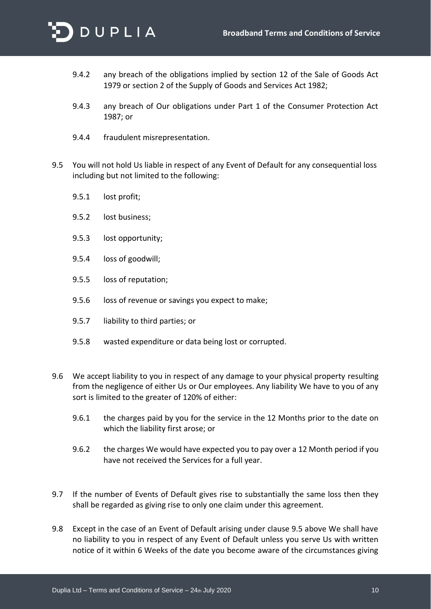

- 9.4.2 any breach of the obligations implied by section 12 of the Sale of Goods Act 1979 or section 2 of the Supply of Goods and Services Act 1982;
- 9.4.3 any breach of Our obligations under Part 1 of the Consumer Protection Act 1987; or
- 9.4.4 fraudulent misrepresentation.
- 9.5 You will not hold Us liable in respect of any Event of Default for any consequential loss including but not limited to the following:
	- 9.5.1 lost profit;
	- 9.5.2 lost business;
	- 9.5.3 lost opportunity;
	- 9.5.4 loss of goodwill;
	- 9.5.5 loss of reputation;
	- 9.5.6 loss of revenue or savings you expect to make;
	- 9.5.7 liability to third parties; or
	- 9.5.8 wasted expenditure or data being lost or corrupted.
- 9.6 We accept liability to you in respect of any damage to your physical property resulting from the negligence of either Us or Our employees. Any liability We have to you of any sort is limited to the greater of 120% of either:
	- 9.6.1 the charges paid by you for the service in the 12 Months prior to the date on which the liability first arose; or
	- 9.6.2 the charges We would have expected you to pay over a 12 Month period if you have not received the Services for a full year.
- 9.7 If the number of Events of Default gives rise to substantially the same loss then they shall be regarded as giving rise to only one claim under this agreement.
- 9.8 Except in the case of an Event of Default arising under clause 9.5 above We shall have no liability to you in respect of any Event of Default unless you serve Us with written notice of it within 6 Weeks of the date you become aware of the circumstances giving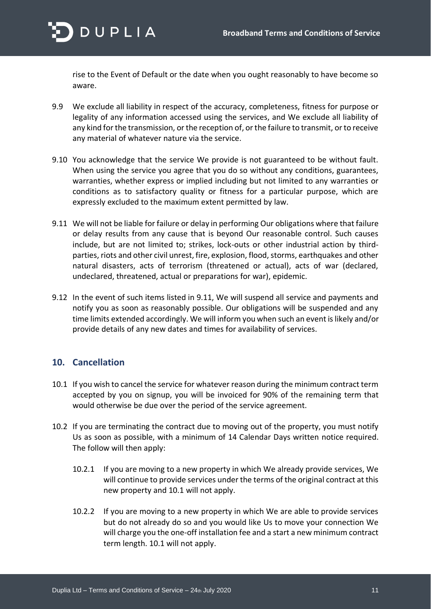

rise to the Event of Default or the date when you ought reasonably to have become so aware.

- 9.9 We exclude all liability in respect of the accuracy, completeness, fitness for purpose or legality of any information accessed using the services, and We exclude all liability of any kind for the transmission, or the reception of, or the failure to transmit, or to receive any material of whatever nature via the service.
- 9.10 You acknowledge that the service We provide is not guaranteed to be without fault. When using the service you agree that you do so without any conditions, guarantees, warranties, whether express or implied including but not limited to any warranties or conditions as to satisfactory quality or fitness for a particular purpose, which are expressly excluded to the maximum extent permitted by law.
- 9.11 We will not be liable for failure or delay in performing Our obligations where that failure or delay results from any cause that is beyond Our reasonable control. Such causes include, but are not limited to; strikes, lock-outs or other industrial action by thirdparties, riots and other civil unrest, fire, explosion, flood, storms, earthquakes and other natural disasters, acts of terrorism (threatened or actual), acts of war (declared, undeclared, threatened, actual or preparations for war), epidemic.
- 9.12 In the event of such items listed in 9.11, We will suspend all service and payments and notify you as soon as reasonably possible. Our obligations will be suspended and any time limits extended accordingly. We will inform you when such an event is likely and/or provide details of any new dates and times for availability of services.

# **10. Cancellation**

- 10.1 If you wish to cancel the service for whatever reason during the minimum contract term accepted by you on signup, you will be invoiced for 90% of the remaining term that would otherwise be due over the period of the service agreement.
- 10.2 If you are terminating the contract due to moving out of the property, you must notify Us as soon as possible, with a minimum of 14 Calendar Days written notice required. The follow will then apply:
	- 10.2.1 If you are moving to a new property in which We already provide services, We will continue to provide services under the terms of the original contract at this new property and 10.1 will not apply.
	- 10.2.2 If you are moving to a new property in which We are able to provide services but do not already do so and you would like Us to move your connection We will charge you the one-off installation fee and a start a new minimum contract term length. 10.1 will not apply.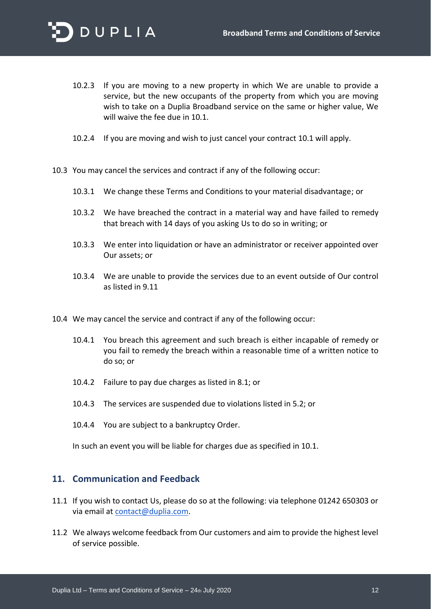

- 10.2.3 If you are moving to a new property in which We are unable to provide a service, but the new occupants of the property from which you are moving wish to take on a Duplia Broadband service on the same or higher value, We will waive the fee due in 10.1.
- 10.2.4 If you are moving and wish to just cancel your contract 10.1 will apply.
- 10.3 You may cancel the services and contract if any of the following occur:
	- 10.3.1 We change these Terms and Conditions to your material disadvantage; or
	- 10.3.2 We have breached the contract in a material way and have failed to remedy that breach with 14 days of you asking Us to do so in writing; or
	- 10.3.3 We enter into liquidation or have an administrator or receiver appointed over Our assets; or
	- 10.3.4 We are unable to provide the services due to an event outside of Our control as listed in 9.11
- 10.4 We may cancel the service and contract if any of the following occur:
	- 10.4.1 You breach this agreement and such breach is either incapable of remedy or you fail to remedy the breach within a reasonable time of a written notice to do so; or
	- 10.4.2 Failure to pay due charges as listed in 8.1; or
	- 10.4.3 The services are suspended due to violations listed in 5.2; or
	- 10.4.4 You are subject to a bankruptcy Order.

In such an event you will be liable for charges due as specified in 10.1.

### **11. Communication and Feedback**

- 11.1 If you wish to contact Us, please do so at the following: via telephone 01242 650303 or via email at [contact@duplia.com.](mailto:contact@duplia.com)
- 11.2 We always welcome feedback from Our customers and aim to provide the highest level of service possible.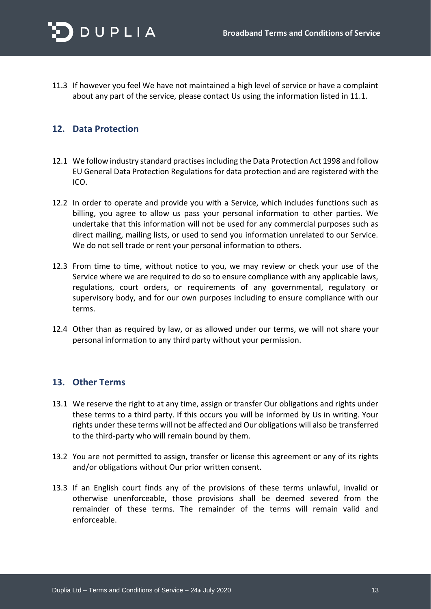

11.3 If however you feel We have not maintained a high level of service or have a complaint about any part of the service, please contact Us using the information listed in 11.1.

## **12. Data Protection**

- 12.1 We follow industry standard practises including the Data Protection Act 1998 and follow EU General Data Protection Regulations for data protection and are registered with the ICO.
- 12.2 In order to operate and provide you with a Service, which includes functions such as billing, you agree to allow us pass your personal information to other parties. We undertake that this information will not be used for any commercial purposes such as direct mailing, mailing lists, or used to send you information unrelated to our Service. We do not sell trade or rent your personal information to others.
- 12.3 From time to time, without notice to you, we may review or check your use of the Service where we are required to do so to ensure compliance with any applicable laws, regulations, court orders, or requirements of any governmental, regulatory or supervisory body, and for our own purposes including to ensure compliance with our terms.
- 12.4 Other than as required by law, or as allowed under our terms, we will not share your personal information to any third party without your permission.

#### **13. Other Terms**

- 13.1 We reserve the right to at any time, assign or transfer Our obligations and rights under these terms to a third party. If this occurs you will be informed by Us in writing. Your rights under these terms will not be affected and Our obligations will also be transferred to the third-party who will remain bound by them.
- 13.2 You are not permitted to assign, transfer or license this agreement or any of its rights and/or obligations without Our prior written consent.
- 13.3 If an English court finds any of the provisions of these terms unlawful, invalid or otherwise unenforceable, those provisions shall be deemed severed from the remainder of these terms. The remainder of the terms will remain valid and enforceable.